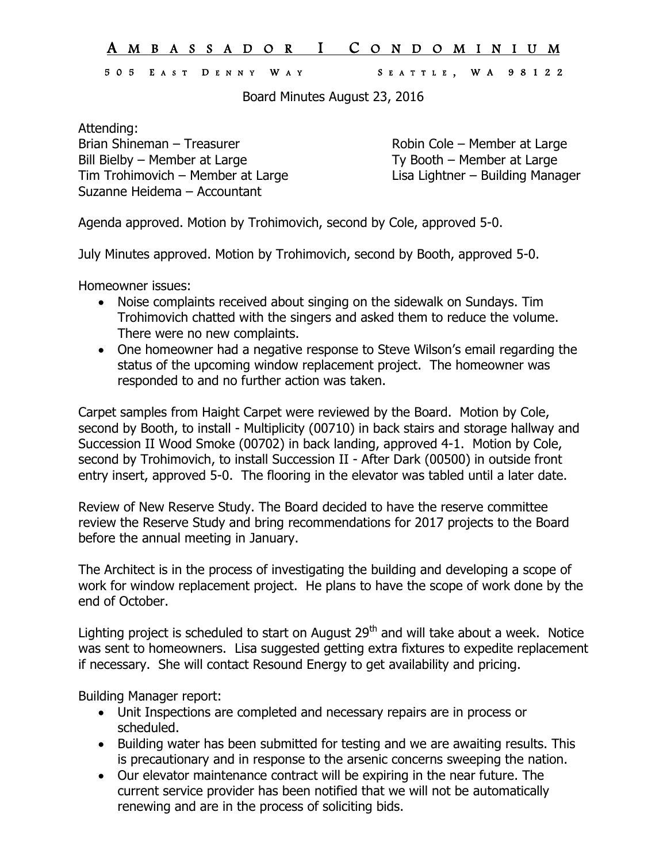## A M B A S S A D O R I C O N D O M I N I U M

## 505 E A S T D E N N Y W A Y S E A T T L E , W A 9812 2

Board Minutes August 23, 2016

Attending: Brian Shineman – Treasurer Robin Cole – Member at Large Bill Bielby – Member at Large<br>
Tim Trohimovich – Member at Large<br>
Lisa Lightner – Building Manager Tim Trohimovich – Member at Large Suzanne Heidema – Accountant

Agenda approved. Motion by Trohimovich, second by Cole, approved 5-0.

July Minutes approved. Motion by Trohimovich, second by Booth, approved 5-0.

Homeowner issues:

- Noise complaints received about singing on the sidewalk on Sundays. Tim Trohimovich chatted with the singers and asked them to reduce the volume. There were no new complaints.
- One homeowner had a negative response to Steve Wilson's email regarding the status of the upcoming window replacement project. The homeowner was responded to and no further action was taken.

Carpet samples from Haight Carpet were reviewed by the Board. Motion by Cole, second by Booth, to install - Multiplicity (00710) in back stairs and storage hallway and Succession II Wood Smoke (00702) in back landing, approved 4-1. Motion by Cole, second by Trohimovich, to install Succession II - After Dark (00500) in outside front entry insert, approved 5-0. The flooring in the elevator was tabled until a later date.

Review of New Reserve Study. The Board decided to have the reserve committee review the Reserve Study and bring recommendations for 2017 projects to the Board before the annual meeting in January.

The Architect is in the process of investigating the building and developing a scope of work for window replacement project. He plans to have the scope of work done by the end of October.

Lighting project is scheduled to start on August  $29<sup>th</sup>$  and will take about a week. Notice was sent to homeowners. Lisa suggested getting extra fixtures to expedite replacement if necessary. She will contact Resound Energy to get availability and pricing.

Building Manager report:

- Unit Inspections are completed and necessary repairs are in process or scheduled.
- Building water has been submitted for testing and we are awaiting results. This is precautionary and in response to the arsenic concerns sweeping the nation.
- Our elevator maintenance contract will be expiring in the near future. The current service provider has been notified that we will not be automatically renewing and are in the process of soliciting bids.